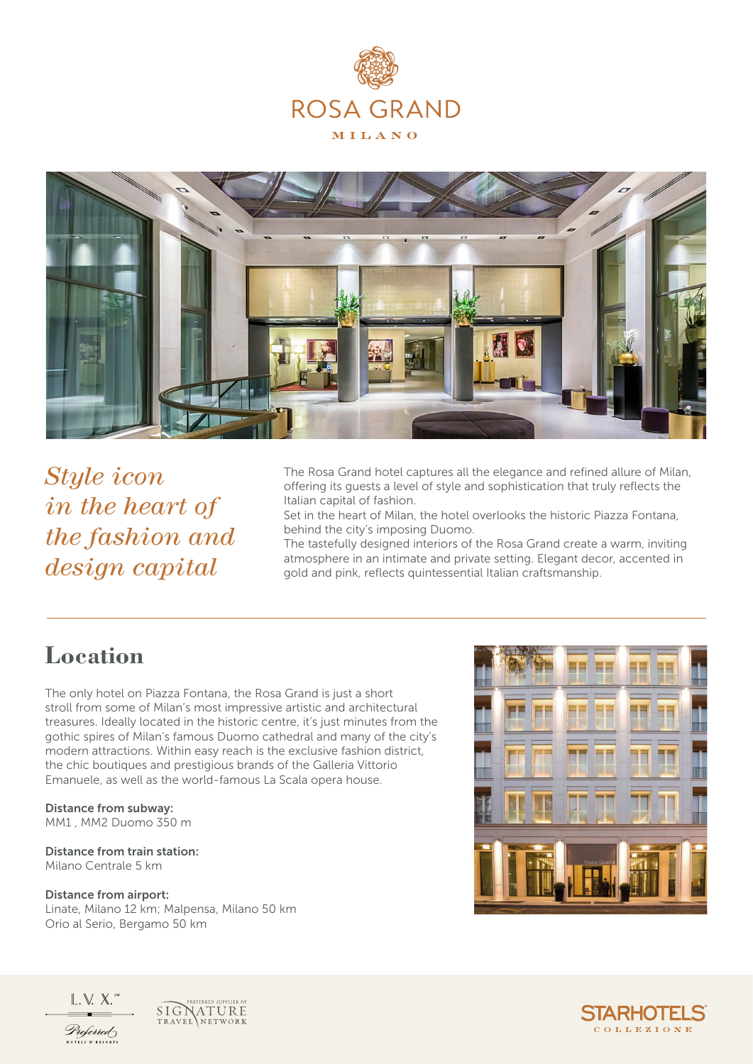



*Style icon in the heart of the fashion and design capital*

The Rosa Grand hotel captures all the elegance and refined allure of Milan, offering its guests a level of style and sophistication that truly reflects the Italian capital of fashion.

Set in the heart of Milan, the hotel overlooks the historic Piazza Fontana, behind the city's imposing Duomo.

The tastefully designed interiors of the Rosa Grand create a warm, inviting atmosphere in an intimate and private setting. Elegant decor, accented in gold and pink, reflects quintessential Italian craftsmanship.

## **Location**

The only hotel on Piazza Fontana, the Rosa Grand is just a short stroll from some of Milan's most impressive artistic and architectural treasures. Ideally located in the historic centre, it's just minutes from the gothic spires of Milan's famous Duomo cathedral and many of the city's modern attractions. Within easy reach is the exclusive fashion district, the chic boutiques and prestigious brands of the Galleria Vittorio Emanuele, as well as the world-famous La Scala opera house.

Distance from subway: MM1 , MM2 Duomo 350 m

Distance from train station: Milano Centrale 5 km

#### Distance from airport:

Linate, Milano 12 km; Malpensa, Milano 50 km Orio al Serio, Bergamo 50 km